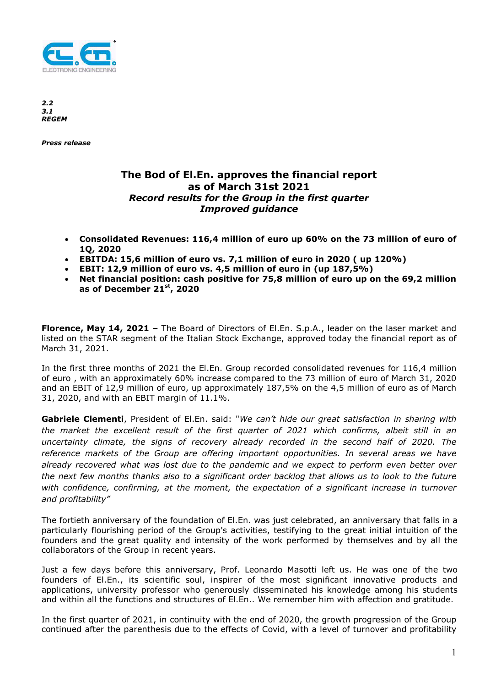

*2.2 3.1 REGEM* 

*Press release* 

## **The Bod of El.En. approves the financial report as of March 31st 2021**  *Record results for the Group in the first quarter Improved guidance*

- **Consolidated Revenues: 116,4 million of euro up 60% on the 73 million of euro of 1Q, 2020**
- **EBITDA: 15,6 million of euro vs. 7,1 million of euro in 2020 ( up 120%)**
- **EBIT: 12,9 million of euro vs. 4,5 million of euro in (up 187,5%)**
- **Net financial position: cash positive for 75,8 million of euro up on the 69,2 million as of December 21st, 2020**

**Florence, May 14, 2021 –** The Board of Directors of El.En. S.p.A., leader on the laser market and listed on the STAR segment of the Italian Stock Exchange, approved today the financial report as of March 31, 2021.

In the first three months of 2021 the El.En. Group recorded consolidated revenues for 116,4 million of euro , with an approximately 60% increase compared to the 73 million of euro of March 31, 2020 and an EBIT of 12,9 million of euro, up approximately 187,5% on the 4,5 million of euro as of March 31, 2020, and with an EBIT margin of 11.1%.

**Gabriele Clementi**, President of El.En. said: "*We can't hide our great satisfaction in sharing with the market the excellent result of the first quarter of 2021 which confirms, albeit still in an uncertainty climate, the signs of recovery already recorded in the second half of 2020. The reference markets of the Group are offering important opportunities. In several areas we have already recovered what was lost due to the pandemic and we expect to perform even better over the next few months thanks also to a significant order backlog that allows us to look to the future with confidence, confirming, at the moment, the expectation of a significant increase in turnover and profitability"* 

The fortieth anniversary of the foundation of El.En. was just celebrated, an anniversary that falls in a particularly flourishing period of the Group's activities, testifying to the great initial intuition of the founders and the great quality and intensity of the work performed by themselves and by all the collaborators of the Group in recent years.

Just a few days before this anniversary, Prof. Leonardo Masotti left us. He was one of the two founders of El.En., its scientific soul, inspirer of the most significant innovative products and applications, university professor who generously disseminated his knowledge among his students and within all the functions and structures of El.En.. We remember him with affection and gratitude.

In the first quarter of 2021, in continuity with the end of 2020, the growth progression of the Group continued after the parenthesis due to the effects of Covid, with a level of turnover and profitability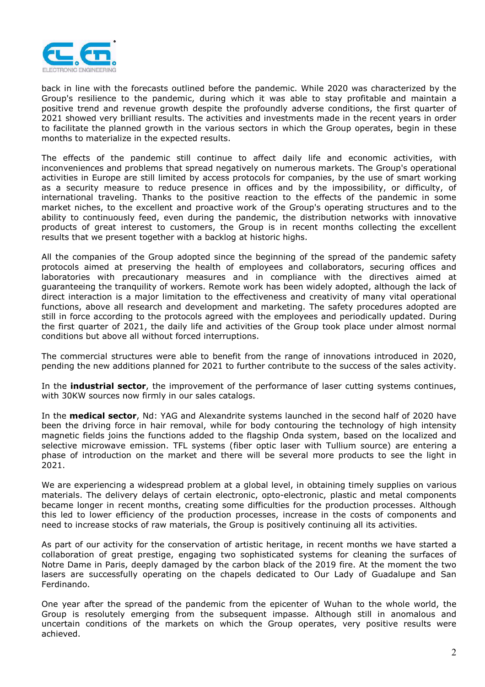

back in line with the forecasts outlined before the pandemic. While 2020 was characterized by the Group's resilience to the pandemic, during which it was able to stay profitable and maintain a positive trend and revenue growth despite the profoundly adverse conditions, the first quarter of 2021 showed very brilliant results. The activities and investments made in the recent years in order to facilitate the planned growth in the various sectors in which the Group operates, begin in these months to materialize in the expected results.

The effects of the pandemic still continue to affect daily life and economic activities, with inconveniences and problems that spread negatively on numerous markets. The Group's operational activities in Europe are still limited by access protocols for companies, by the use of smart working as a security measure to reduce presence in offices and by the impossibility, or difficulty, of international traveling. Thanks to the positive reaction to the effects of the pandemic in some market niches, to the excellent and proactive work of the Group's operating structures and to the ability to continuously feed, even during the pandemic, the distribution networks with innovative products of great interest to customers, the Group is in recent months collecting the excellent results that we present together with a backlog at historic highs.

All the companies of the Group adopted since the beginning of the spread of the pandemic safety protocols aimed at preserving the health of employees and collaborators, securing offices and laboratories with precautionary measures and in compliance with the directives aimed at guaranteeing the tranquility of workers. Remote work has been widely adopted, although the lack of direct interaction is a major limitation to the effectiveness and creativity of many vital operational functions, above all research and development and marketing. The safety procedures adopted are still in force according to the protocols agreed with the employees and periodically updated. During the first quarter of 2021, the daily life and activities of the Group took place under almost normal conditions but above all without forced interruptions.

The commercial structures were able to benefit from the range of innovations introduced in 2020, pending the new additions planned for 2021 to further contribute to the success of the sales activity.

In the **industrial sector**, the improvement of the performance of laser cutting systems continues, with 30KW sources now firmly in our sales catalogs.

In the **medical sector**, Nd: YAG and Alexandrite systems launched in the second half of 2020 have been the driving force in hair removal, while for body contouring the technology of high intensity magnetic fields joins the functions added to the flagship Onda system, based on the localized and selective microwave emission. TFL systems (fiber optic laser with Tullium source) are entering a phase of introduction on the market and there will be several more products to see the light in 2021.

We are experiencing a widespread problem at a global level, in obtaining timely supplies on various materials. The delivery delays of certain electronic, opto-electronic, plastic and metal components became longer in recent months, creating some difficulties for the production processes. Although this led to lower efficiency of the production processes, increase in the costs of components and need to increase stocks of raw materials, the Group is positively continuing all its activities.

As part of our activity for the conservation of artistic heritage, in recent months we have started a collaboration of great prestige, engaging two sophisticated systems for cleaning the surfaces of Notre Dame in Paris, deeply damaged by the carbon black of the 2019 fire. At the moment the two lasers are successfully operating on the chapels dedicated to Our Lady of Guadalupe and San Ferdinando.

One year after the spread of the pandemic from the epicenter of Wuhan to the whole world, the Group is resolutely emerging from the subsequent impasse. Although still in anomalous and uncertain conditions of the markets on which the Group operates, very positive results were achieved.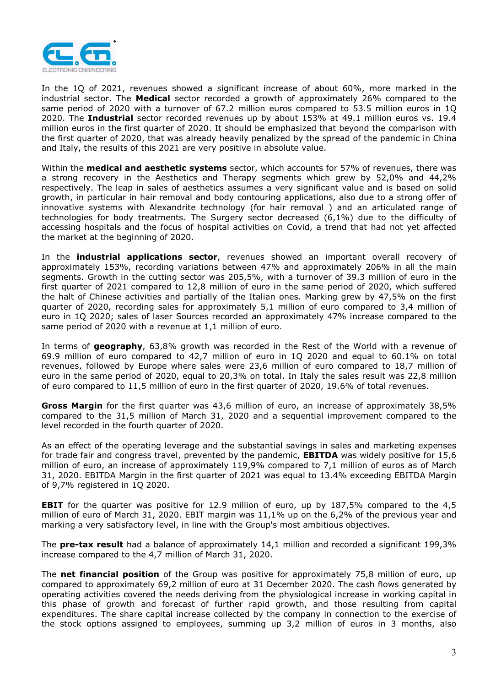

In the 1Q of 2021, revenues showed a significant increase of about 60%, more marked in the industrial sector. The **Medical** sector recorded a growth of approximately 26% compared to the same period of 2020 with a turnover of 67.2 million euros compared to 53.5 million euros in 1Q 2020. The **Industrial** sector recorded revenues up by about 153% at 49.1 million euros vs. 19.4 million euros in the first quarter of 2020. It should be emphasized that beyond the comparison with the first quarter of 2020, that was already heavily penalized by the spread of the pandemic in China and Italy, the results of this 2021 are very positive in absolute value.

Within the **medical and aesthetic systems** sector, which accounts for 57% of revenues, there was a strong recovery in the Aesthetics and Therapy segments which grew by 52,0% and 44,2% respectively. The leap in sales of aesthetics assumes a very significant value and is based on solid growth, in particular in hair removal and body contouring applications, also due to a strong offer of innovative systems with Alexandrite technology (for hair removal ) and an articulated range of technologies for body treatments. The Surgery sector decreased (6,1%) due to the difficulty of accessing hospitals and the focus of hospital activities on Covid, a trend that had not yet affected the market at the beginning of 2020.

In the **industrial applications sector**, revenues showed an important overall recovery of approximately 153%, recording variations between 47% and approximately 206% in all the main segments. Growth in the cutting sector was 205,5%, with a turnover of 39.3 million of euro in the first quarter of 2021 compared to 12,8 million of euro in the same period of 2020, which suffered the halt of Chinese activities and partially of the Italian ones. Marking grew by 47,5% on the first quarter of 2020, recording sales for approximately 5,1 million of euro compared to 3,4 million of euro in 1Q 2020; sales of laser Sources recorded an approximately 47% increase compared to the same period of 2020 with a revenue at 1,1 million of euro.

In terms of **geography**, 63,8% growth was recorded in the Rest of the World with a revenue of 69.9 million of euro compared to 42,7 million of euro in 1Q 2020 and equal to 60.1% on total revenues, followed by Europe where sales were 23,6 million of euro compared to 18,7 million of euro in the same period of 2020, equal to 20,3% on total. In Italy the sales result was 22,8 million of euro compared to 11,5 million of euro in the first quarter of 2020, 19.6% of total revenues.

**Gross Margin** for the first quarter was 43,6 million of euro, an increase of approximately 38,5% compared to the 31,5 million of March 31, 2020 and a sequential improvement compared to the level recorded in the fourth quarter of 2020.

As an effect of the operating leverage and the substantial savings in sales and marketing expenses for trade fair and congress travel, prevented by the pandemic, **EBITDA** was widely positive for 15,6 million of euro, an increase of approximately 119,9% compared to 7,1 million of euros as of March 31, 2020. EBITDA Margin in the first quarter of 2021 was equal to 13.4% exceeding EBITDA Margin of 9,7% registered in 1Q 2020.

**EBIT** for the quarter was positive for 12.9 million of euro, up by 187,5% compared to the 4,5 million of euro of March 31, 2020. EBIT margin was 11,1% up on the 6,2% of the previous year and marking a very satisfactory level, in line with the Group's most ambitious objectives.

The **pre-tax result** had a balance of approximately 14,1 million and recorded a significant 199,3% increase compared to the 4,7 million of March 31, 2020.

The **net financial position** of the Group was positive for approximately 75,8 million of euro, up compared to approximately 69,2 million of euro at 31 December 2020. The cash flows generated by operating activities covered the needs deriving from the physiological increase in working capital in this phase of growth and forecast of further rapid growth, and those resulting from capital expenditures. The share capital increase collected by the company in connection to the exercise of the stock options assigned to employees, summing up 3,2 million of euros in 3 months, also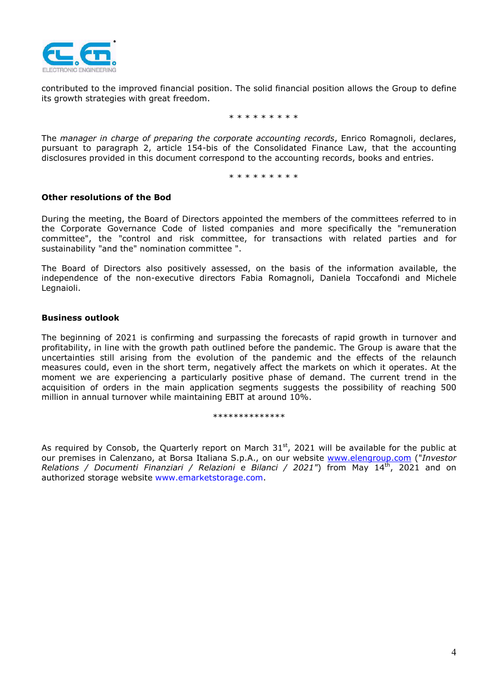

contributed to the improved financial position. The solid financial position allows the Group to define its growth strategies with great freedom.

\* \* \* \* \* \* \* \*

The *manager in charge of preparing the corporate accounting records*, Enrico Romagnoli, declares, pursuant to paragraph 2, article 154-bis of the Consolidated Finance Law, that the accounting disclosures provided in this document correspond to the accounting records, books and entries.

\* \* \* \* \* \* \* \*

#### **Other resolutions of the Bod**

During the meeting, the Board of Directors appointed the members of the committees referred to in the Corporate Governance Code of listed companies and more specifically the "remuneration committee", the "control and risk committee, for transactions with related parties and for sustainability "and the" nomination committee ".

The Board of Directors also positively assessed, on the basis of the information available, the independence of the non-executive directors Fabia Romagnoli, Daniela Toccafondi and Michele Legnaioli.

#### **Business outlook**

The beginning of 2021 is confirming and surpassing the forecasts of rapid growth in turnover and profitability, in line with the growth path outlined before the pandemic. The Group is aware that the uncertainties still arising from the evolution of the pandemic and the effects of the relaunch measures could, even in the short term, negatively affect the markets on which it operates. At the moment we are experiencing a particularly positive phase of demand. The current trend in the acquisition of orders in the main application segments suggests the possibility of reaching 500 million in annual turnover while maintaining EBIT at around 10%.

\*\*\*\*\*\*\*\*\*\*\*\*\*\*

As required by Consob, the Quarterly report on March  $31<sup>st</sup>$ , 2021 will be available for the public at our premises in Calenzano, at Borsa Italiana S.p.A., on our website www.elengroup.com ("*Investor Relations / Documenti Finanziari / Relazioni e Bilanci / 2021"*) from May 14<sup>th</sup>, 2021 and on authorized storage website www.emarketstorage.com.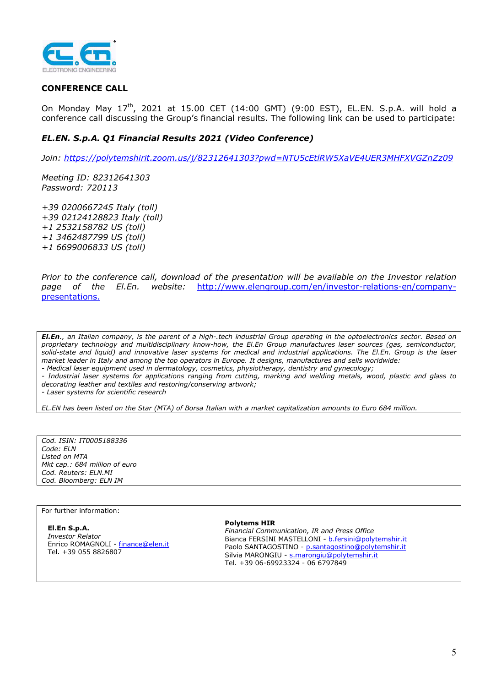

### **CONFERENCE CALL**

On Monday May  $17^{th}$ , 2021 at 15.00 CET (14:00 GMT) (9:00 EST), EL.EN. S.p.A. will hold a conference call discussing the Group's financial results. The following link can be used to participate:

#### *EL.EN. S.p.A. Q1 Financial Results 2021 (Video Conference)*

*Join: https://polytemshirit.zoom.us/j/82312641303?pwd=NTU5cEtlRW5XaVE4UER3MHFXVGZnZz09* 

*Meeting ID: 82312641303 Password: 720113* 

*+39 0200667245 Italy (toll) +39 02124128823 Italy (toll) +1 2532158782 US (toll) +1 3462487799 US (toll) +1 6699006833 US (toll)* 

*Prior to the conference call, download of the presentation will be available on the Investor relation page of the El.En. website:* http://www.elengroup.com/en/investor-relations-en/companypresentations.

*El.En., an Italian company, is the parent of a high-.tech industrial Group operating in the optoelectronics sector. Based on proprietary technology and multidisciplinary know-how, the El.En Group manufactures laser sources (gas, semiconductor, solid-state and liquid) and innovative laser systems for medical and industrial applications. The El.En. Group is the laser market leader in Italy and among the top operators in Europe. It designs, manufactures and sells worldwide: - Medical laser equipment used in dermatology, cosmetics, physiotherapy, dentistry and gynecology;* 

*- Industrial laser systems for applications ranging from cutting, marking and welding metals, wood, plastic and glass to decorating leather and textiles and restoring/conserving artwork;* 

*- Laser systems for scientific research* 

*EL.EN has been listed on the Star (MTA) of Borsa Italian with a market capitalization amounts to Euro 684 million.* 

*Cod. ISIN: IT0005188336 Code: ELN Listed on MTA Mkt cap.: 684 million of euro Cod. Reuters: ELN.MI Cod. Bloomberg: ELN IM* 

For further information:

**El.En S.p.A.**  *Investor Relator*  Enrico ROMAGNOLI - finance@elen.it Tel. +39 055 8826807

#### **Polytems HIR**

*Financial Communication, IR and Press Office*  Bianca FERSINI MASTELLONI - b.fersini@polytemshir.it Paolo SANTAGOSTINO - p.santagostino@polytemshir.it Silvia MARONGIU - s.marongiu@polytemshir.it Tel. +39 06-69923324 - 06 6797849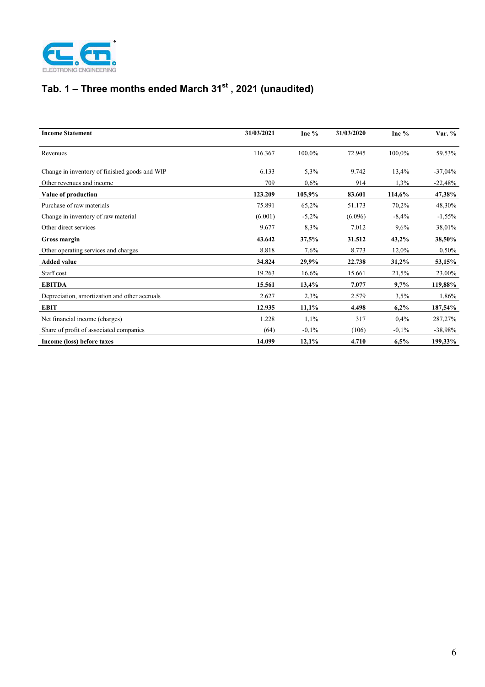

# **Tab. 1 – Three months ended March 31st , 2021 (unaudited)**

| <b>Income Statement</b>                       | 31/03/2021 | Inc $%$ | 31/03/2020 | Inc $%$ | Var. %     |
|-----------------------------------------------|------------|---------|------------|---------|------------|
| Revenues                                      | 116.367    | 100,0%  | 72.945     | 100,0%  | 59,53%     |
| Change in inventory of finished goods and WIP | 6.133      | 5,3%    | 9.742      | 13,4%   | $-37,04\%$ |
| Other revenues and income                     | 709        | 0.6%    | 914        | 1,3%    | $-22,48%$  |
| Value of production                           | 123.209    | 105,9%  | 83.601     | 114,6%  | 47,38%     |
| Purchase of raw materials                     | 75.891     | 65,2%   | 51.173     | 70,2%   | 48,30%     |
| Change in inventory of raw material           | (6.001)    | $-5,2%$ | (6.096)    | $-8,4%$ | $-1,55%$   |
| Other direct services                         | 9.677      | 8,3%    | 7.012      | 9,6%    | 38,01%     |
| Gross margin                                  | 43.642     | 37,5%   | 31.512     | 43,2%   | 38,50%     |
| Other operating services and charges          | 8.818      | 7,6%    | 8.773      | 12,0%   | 0,50%      |
| <b>Added value</b>                            | 34.824     | 29,9%   | 22.738     | 31,2%   | 53,15%     |
| Staff cost                                    | 19.263     | 16,6%   | 15.661     | 21,5%   | 23,00%     |
| <b>EBITDA</b>                                 | 15.561     | 13,4%   | 7.077      | 9,7%    | 119,88%    |
| Depreciation, amortization and other accruals | 2.627      | 2,3%    | 2.579      | 3,5%    | 1,86%      |
| <b>EBIT</b>                                   | 12.935     | 11,1%   | 4.498      | 6,2%    | 187,54%    |
| Net financial income (charges)                | 1.228      | 1,1%    | 317        | 0,4%    | 287,27%    |
| Share of profit of associated companies       | (64)       | $-0,1%$ | (106)      | $-0,1%$ | $-38,98%$  |
| Income (loss) before taxes                    | 14.099     | 12,1%   | 4.710      | 6,5%    | 199,33%    |